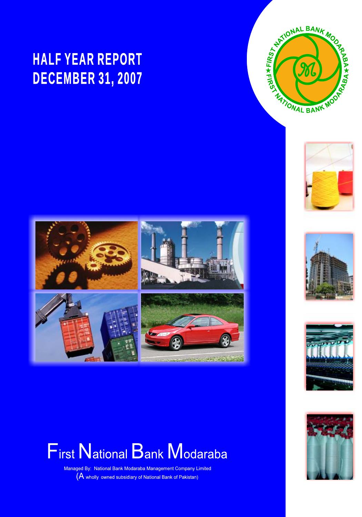# **HALF YEAR REPORT DECEMBER 31, 2007**







Managed By: National Bank Modaraba Management Company Limited (A wholly owned subsidiary of National Bank of Pakistan)





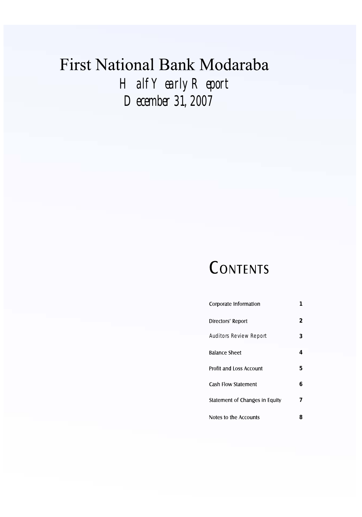# First National Bank Modaraba *Half Yearly Report December 31, 2007*

# CONTENTS

| Corporate Information          | 1 |
|--------------------------------|---|
| Directors' Report              | 2 |
| <b>Auditors Review Report</b>  | 3 |
| <b>Balance Sheet</b>           | 4 |
| <b>Profit and Loss Account</b> | 5 |
| Cash Flow Statement            | 6 |
| Statement of Changes in Equity | 7 |
| Notes to the Accounts          | 8 |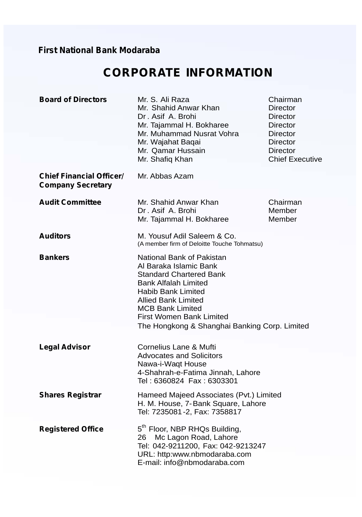# **CORPORATE INFORMATION**

| <b>Board of Directors</b>                                   | Mr. S. Ali Raza<br>Mr. Shahid Anwar Khan<br>Dr. Asif A. Brohi<br>Mr. Tajammal H. Bokharee<br>Mr. Muhammad Nusrat Vohra<br>Mr. Wajahat Baqai<br>Mr. Qamar Hussain<br>Mr. Shafiq Khan                                                                                       | Chairman<br>Director<br>Director<br>Director<br>Director<br>Director<br><b>Director</b><br><b>Chief Executive</b> |
|-------------------------------------------------------------|---------------------------------------------------------------------------------------------------------------------------------------------------------------------------------------------------------------------------------------------------------------------------|-------------------------------------------------------------------------------------------------------------------|
| <b>Chief Financial Officer/</b><br><b>Company Secretary</b> | Mr. Abbas Azam                                                                                                                                                                                                                                                            |                                                                                                                   |
| <b>Audit Committee</b>                                      | Mr. Shahid Anwar Khan<br>Dr. Asif A. Brohi<br>Mr. Tajammal H. Bokharee                                                                                                                                                                                                    | Chairman<br>Member<br>Member                                                                                      |
| <b>Auditors</b>                                             | M. Yousuf Adil Saleem & Co.<br>(A member firm of Deloitte Touche Tohmatsu)                                                                                                                                                                                                |                                                                                                                   |
| <b>Bankers</b>                                              | National Bank of Pakistan<br>Al Baraka Islamic Bank<br><b>Standard Chartered Bank</b><br>Bank Alfalah Limited<br>Habib Bank Limited<br><b>Allied Bank Limited</b><br><b>MCB Bank Limited</b><br>First Women Bank Limited<br>The Hongkong & Shanghai Banking Corp. Limited |                                                                                                                   |
| <b>Legal Advisor</b>                                        | Cornelius Lane & Mufti<br><b>Advocates and Solicitors</b><br>Nawa-i-Waqt House<br>4-Shahrah-e-Fatima Jinnah, Lahore<br>Tel: 6360824 Fax: 6303301                                                                                                                          |                                                                                                                   |
| <b>Shares Registrar</b>                                     | Hameed Majeed Associates (Pvt.) Limited<br>H. M. House, 7-Bank Square, Lahore<br>Tel: 7235081-2, Fax: 7358817                                                                                                                                                             |                                                                                                                   |
| <b>Registered Office</b>                                    | 5 <sup>th</sup> Floor, NBP RHQs Building,<br>Mc Lagon Road, Lahore<br>26<br>Tel: 042-9211200, Fax: 042-9213247<br>URL: http:www.nbmodaraba.com<br>E-mail: info@nbmodaraba.com                                                                                             |                                                                                                                   |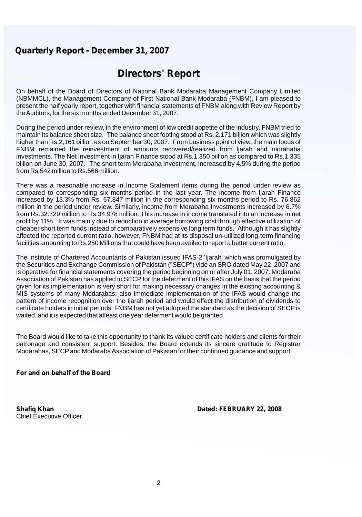# **Directors' Report**

On behalf of the Board of Directors of National Bank Modaraba Management Company Limited (NBMMCL), the Management Company of First National Bank Modaraba (FNBM), I am pleased to present the half yearly report, together with financial statements of FNBM along with Review Report by the Auditors, for the six months ended December 31, 2007.

During the period under review, in the environment of low credit appetite of the industry, FNBM tried to maintain its balance sheet size. The balance sheet footing stood at Rs. 2.171 billion which was slightly higher than Rs.2,161 billion as on September 30, 2007. From business point of view, the main focus of FNBM remained the reinvestment of amounts recovered/realized from ljarah and morahaba investments. The Net Investment in Ijarah Finance stood at Rs.1.350 billion as compared to Rs.1.335 billion on June 30, 2007. The short term Morabaha Investment, increased by 4.5% during the period from Rs.542 million to Rs.566 million.

There was a reasonable increase in Income Statement items during the period under review as compared to corresponding six months period in the last year. The income from Ijarah Finance increased by 13.3% from Rs. 67.847 million in the corresponding six months period to Rs. 76.862 million in the period under review. Similarly, income from Morabaha Investments increased by 6.7% from Rs.32.729 million to Rs.34.978 million. This increase in income translated into an increase in net profit by 11%. It was mainly due to reduction in average borrowing cost through effective utilization of cheaper short term funds instead of comparatively expensive long term funds. Although it has slightly affected the reported current ratio, however, FNBM had at its disposal un-utilized long-term financing facilities amounting to Rs.250 Millions that could have been availed to report a better current ratio.

The Institute of Chartered Accountants of Pakistan issued IFAS-2 'Ijarah' which was promulgated by the Securities and Exchange Commission of Pakistan ("SECP") vide an SRO dated May 22, 2007 and is operative for financial statements covering the period beginning on or after July 01, 2007. Modaraba Association of Pakistan has applied to SECP for the deferment of this IFAS on the basis that the period given for its implementation is very short for making necessary changes in the existing accounting & MIS systems of many Modarabas; also immediate implementation of the IFAS would change the pattern of income recognition over the Ijarah period and would effect the distribution of dividends to certificate holders in initial periods. FNBM has not yet adopted the standard as the decision of SECP is waited, and it is expected that atleast one year deferment would be granted.

The Board would like to take this opportunity to thank its valued certificate holders and clients for their patronage and consistent support. Besides, the Board extends its sincere gratitude to Registrar Modarabas, SECPand Modaraba Association of Pakistan for their continued guidance and support.

#### **For and on behalf of the Board**

Chief Executive Officer

**Shafiq Khan Dated: FEBRUARY 22, 2008**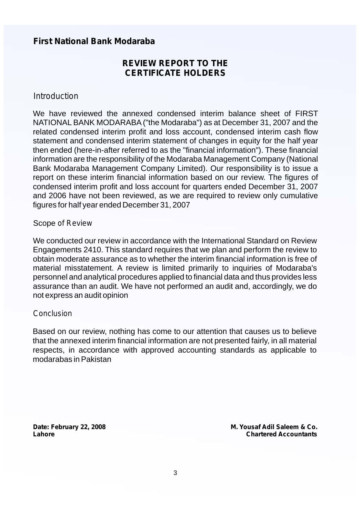## **REVIEW REPORT TO THE CERTIFICATE HOLDERS**

#### *Introduction*

 and 2006 have not been reviewed, as we are required to review only cumulative We have reviewed the annexed condensed interim balance sheet of FIRST NATIONAL BANK MODARABA("the Modaraba") as at December 31, 2007 and the related condensed interim profit and loss account, condensed interim cash flow statement and condensed interim statement of changes in equity for the half year then ended (here-in-after referred to as the "financial information"). These financial information are the responsibility of the Modaraba Management Company (National Bank Modaraba Management Company Limited). Our responsibility is to issue a report on these interim financial information based on our review. The figures of condensed interim profit and loss account for quarters ended December 31, 2007 figures for half year ended December 31, 2007

#### Scope *of Review*

We conducted our review in accordance with the International Standard on Review Engagements 2410. This standard requires that we plan and perform the review to obtain moderate assurance as to whether the interim financial information is free of material misstatement. A review is limited primarily to inquiries of Modaraba's personnel and analytical procedures applied to financial data and thus provides less assurance than an audit. We have not performed an audit and, accordingly, we do not express an audit opinion

#### *Conclusion*

Based on our review, nothing has come to our attention that causes us to believe that the annexed interim financial information are not presented fairly, in all material respects, in accordance with approved accounting standards as applicable to modarabas in Pakistan

**Date: February 22, 2008 Lahore**

**M. Yousaf Adil Saleem & Co.** *Chartered Accountants*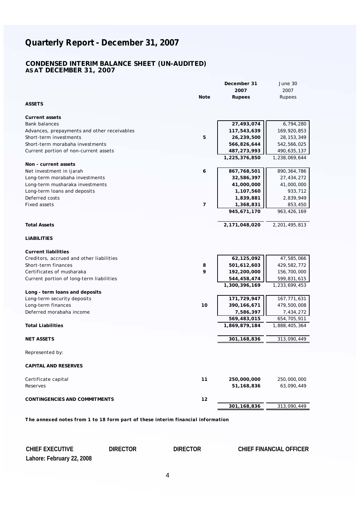#### **CONDENSED INTERIM BALANCE SHEET (UN-AUDITED) AS AT DECEMBER 31, 2007**

|                                             |                | December 31   | June 30       |
|---------------------------------------------|----------------|---------------|---------------|
|                                             |                | 2007          | 2007          |
| ASSETS                                      | Note           | Rupees        | Rupees        |
|                                             |                |               |               |
| Current assets                              |                |               |               |
| <b>Bank balances</b>                        |                | 27,493,074    | 6,794,280     |
| Advances, prepayments and other receivables |                | 117,543,639   | 169,920,853   |
| Short-term investments                      | 5              | 26,239,500    | 28, 153, 349  |
| Short-term morabaha investments             |                | 566,826,644   | 542,566,025   |
| Current portion of non-current assets       |                | 487,273,993   | 490,635,137   |
|                                             |                | 1,225,376,850 | 1,238,069,644 |
| Non - current assets                        |                |               |               |
| Net investment in ijarah                    | 6              | 867,768,501   | 890, 364, 786 |
| Long-term morabaha investments              |                | 32,586,397    | 27,434,272    |
| Long-term musharaka investments             |                | 41,000,000    | 41,000,000    |
| Long-term loans and deposits                |                | 1,107,560     | 933,712       |
| Deferred costs                              |                | 1,839,881     | 2,839,949     |
| <b>Fixed assets</b>                         | $\overline{7}$ | 1,368,831     | 853,450       |
|                                             |                | 945,671,170   | 963, 426, 169 |
| <b>Total Assets</b>                         |                | 2,171,048,020 | 2,201,495,813 |
| <b>LIABILITIES</b>                          |                |               |               |
| <b>Current liabilities</b>                  |                |               |               |
| Creditors, accrued and other liabilities    |                | 62,125,092    | 47,585,066    |
| Short-term finances                         | 8              | 501,612,603   | 429,582,772   |
| Certificates of musharaka                   | 9              | 192,200,000   | 156,700,000   |
| Current portion of long-term liabilities    |                | 544,458,474   | 599,831,615   |
|                                             |                | 1,300,396,169 | 1,233,699,453 |
| Long - term loans and deposits              |                |               |               |
| Long-term security deposits                 |                | 171,729,947   | 167,771,631   |
| Long-term finances                          | 10             | 390, 166, 671 | 479,500,008   |
| Deferred morabaha income                    |                | 7,586,397     | 7,434,272     |
|                                             |                | 569,483,015   | 654,705,911   |
| <b>Total Liabilities</b>                    |                | 1,869,879,184 | 1,888,405,364 |
| <b>NET ASSETS</b>                           |                | 301, 168, 836 | 313,090,449   |
| Represented by:                             |                |               |               |
| CAPITAL AND RESERVES                        |                |               |               |
| Certificate capital                         | 11             | 250,000,000   | 250,000,000   |
| Reserves                                    |                | 51, 168, 836  | 63,090,449    |
| CONTINGENCIES AND COMMITMENTS               | 12             |               |               |
|                                             |                | 301,168,836   | 313,090,449   |

*The annexed notes from 1 to 18 form part of these interim financial information*

**Lahore: February 22, 2008 CHIEF EXECUTIVE DIRECTOR DIRECTOR CHIEF FINANCIAL OFFICER**

4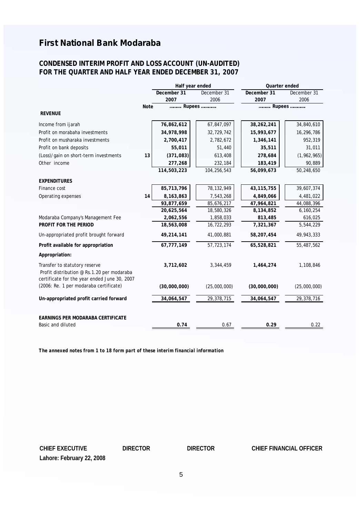#### **CONDENSED INTERIM PROFIT AND LOSS ACCOUNT (UN-AUDITED) FOR THE QUARTER AND HALF YEAR ENDED DECEMBER 31, 2007**

|                                                                                                                             |      | Half year ended     |                     | Quarter ended       |                     |
|-----------------------------------------------------------------------------------------------------------------------------|------|---------------------|---------------------|---------------------|---------------------|
|                                                                                                                             |      | December 31<br>2007 | December 31<br>2006 | December 31<br>2007 | December 31<br>2006 |
|                                                                                                                             | Note | Rupees              |                     | Rupees              |                     |
| <b>REVENUE</b>                                                                                                              |      |                     |                     |                     |                     |
| Income from ijarah                                                                                                          |      | 76,862,612          | 67,847,097          | 38,262,241          | 34,840,610          |
| Profit on morabaha investments                                                                                              |      | 34,978,998          | 32,729,742          | 15,993,677          | 16,296,786          |
| Profit on musharaka investments                                                                                             |      | 2,700,417           | 2,782,672           | 1,346,141           | 952,319             |
| Profit on bank deposits                                                                                                     |      | 55,011              | 51,440              | 35,511              | 31,011              |
| (Loss)/gain on short-term investments                                                                                       | 13   | (371, 083)          | 613,408             | 278,684             | (1, 962, 965)       |
| Other income                                                                                                                |      | 277,268             | 232,184             | 183,419             | 90,889              |
|                                                                                                                             |      | 114,503,223         | 104,256,543         | 56,099,673          | 50,248,650          |
| <b>EXPENDITURES</b>                                                                                                         |      |                     |                     |                     |                     |
| Finance cost                                                                                                                |      | 85,713,796          | 78, 132, 949        | 43, 115, 755        | 39,607,374          |
| Operating expenses                                                                                                          | 14   | 8,163,863           | 7,543,268           | 4,849,066           | 4,481,022           |
|                                                                                                                             |      | 93,877,659          | 85,676,217          | 47,964,821          | 44,088,396          |
|                                                                                                                             |      | 20,625,564          | 18,580,326          | 8,134,852           | 6,160,254           |
| Modaraba Company's Management Fee                                                                                           |      | 2,062,556           | 1,858,033           | 813,485             | 616,025             |
| PROFIT FOR THE PERIOD                                                                                                       |      | 18,563,008          | 16,722,293          | 7,321,367           | 5,544,229           |
| Un-appropriated profit brought forward                                                                                      |      | 49,214,141          | 41,000,881          | 58,207,454          | 49,943,333          |
| Profit available for appropriation                                                                                          |      | 67,777,149          | 57,723,174          | 65,528,821          | 55,487,562          |
| Appropriation:                                                                                                              |      |                     |                     |                     |                     |
| Transfer to statutory reserve<br>Profit distribution @ Rs.1.20 per modaraba<br>certificate for the year ended June 30, 2007 |      | 3,712,602           | 3,344,459           | 1.464.274           | 1,108,846           |
| (2006: Re. 1 per modaraba certificate)                                                                                      |      | (30,000,000)        | (25,000,000)        | (30,000,000)        | (25,000,000)        |
| Un-appropriated profit carried forward                                                                                      |      | 34,064,547          | 29,378,715          | 34,064,547          | 29,378,716          |
| EARNINGS PER MODARABA CERTIFICATE                                                                                           |      |                     |                     |                     |                     |
| Basic and diluted                                                                                                           |      | 0.74                | 0.67                | 0.29                | 0.22                |

*The annexed notes from 1 to 18 form part of these interim financial information*

**Lahore: February 22, 2008**

**CHIEF EXECUTIVE DIRECTOR DIRECTOR CHIEF FINANCIAL OFFICER**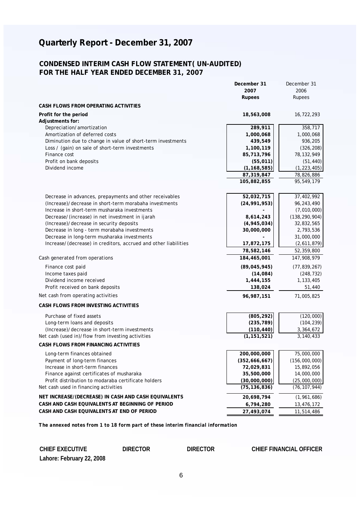#### **CONDENSED INTERIM CASH FLOW STATEMENT( UN-AUDITED) FOR THE HALF YEAR ENDED DECEMBER 31, 2007**

|                                                                 | December 31                 | December 31                 |
|-----------------------------------------------------------------|-----------------------------|-----------------------------|
|                                                                 | 2007                        | 2006                        |
|                                                                 | Rupees                      | Rupees                      |
| CASH FLOWS FROM OPERATING ACTIVITIES                            |                             |                             |
| Profit for the period                                           | 18,563,008                  | 16,722,293                  |
| Adjustments for:                                                |                             |                             |
| Depreciation/amortization                                       | 289,911                     | 358,717                     |
| Amortization of deferred costs                                  | 1,000,068                   | 1,000,068                   |
| Diminution due to change in value of short-term investments     | 439,549                     | 936,205                     |
| Loss / (gain) on sale of short-term investments                 | 1,100,119                   | (326, 208)                  |
| Finance cost                                                    | 85,713,796                  | 78,132,949                  |
| Profit on bank deposits<br>Dividend income                      | (55, 011)                   | (51, 440)                   |
|                                                                 | (1, 168, 585)<br>87,319,847 | (1, 223, 405)<br>78,826,886 |
|                                                                 | 105,882,855                 | 95,549,179                  |
|                                                                 |                             |                             |
| Decrease in advances, prepayments and other receivables         | 52,032,715                  | 37,402,992                  |
| (Increase)/decrease in short-term morabaha investments          | (24, 991, 953)              | 96,243,490                  |
| Increase in short-term musharaka investments                    |                             | (7,010,000)                 |
| Decrease/(increase) in net investment in ijarah                 | 8,614,243                   | (138, 290, 904)             |
| (Increase)/decrease in security deposits                        | (4, 945, 034)               | 32,832,565                  |
| Decrease in long - term morabaha investments                    | 30,000,000                  | 2,793,536                   |
| Decrease in long-term musharaka investments                     |                             | 31,000,000                  |
| Increase/(decrease) in creditors, accrued and other liabilities | 17,872,175                  | (2,611,879)                 |
|                                                                 | 78,582,146                  | 52,359,800                  |
| Cash generated from operations                                  | 184,465,001                 | 147,908,979                 |
| Finance cost paid                                               | (89, 045, 945)              | (77, 839, 267)              |
| Income taxes paid                                               | (14,084)                    | (248, 732)                  |
| Dividend income received                                        | 1,444,155                   | 1,133,405                   |
| Profit received on bank deposits                                | 138,024                     | 51,440                      |
| Net cash from operating activities                              | 96,987,151                  | 71,005,825                  |
| CASH FLOWS FROM INVESTING ACTIVITIES                            |                             |                             |
| Purchase of fixed assets                                        | (805, 292)                  | (120,000)                   |
| Long-term loans and deposits                                    | (235, 789)                  | (104, 239)                  |
| (Increase)/decrease in short-term investments                   | (110, 440)                  | 3,364,672                   |
| Net cash (used in)/flow from investing activities               | (1, 151, 521)               | 3,140,433                   |
| CASH FLOWS FROM FINANCING ACTIVITIES                            |                             |                             |
| Long-term finances obtained                                     | 200,000,000                 | 75,000,000                  |
| Payment of long-term finances                                   | (352,666,667)               | (156,000,000)               |
| Increase in short-term finances                                 | 72,029,831                  | 15,892,056                  |
| Finance against certificates of musharaka                       | 35,500,000                  | 14,000,000                  |
| Profit distribution to modaraba certificate holders             | (30,000,000)                | (25,000,000)                |
| Net cash used in financing activities                           | (75, 136, 836)              | (76, 107, 944)              |
| NET INCREASE/(DECREASE) IN CASH AND CASH EQUIVALENTS            | 20,698,794                  | (1,961,686)                 |
| CASH AND CASH EQUIVALENTS AT BEGINNING OF PERIOD                | 6,794,280                   | 13,476,172                  |
| CASH AND CASH EQUIVALENTS AT END OF PERIOD                      | 27.493.074                  | 11.514.486                  |
|                                                                 |                             |                             |

*The annexed notes from 1 to 18 form part of these interim financial information*

**CHIEF EXECUTIVE DIRECTOR DIRECTOR CHIEF FINANCIAL OFFICER**

**Lahore: February 22, 2008**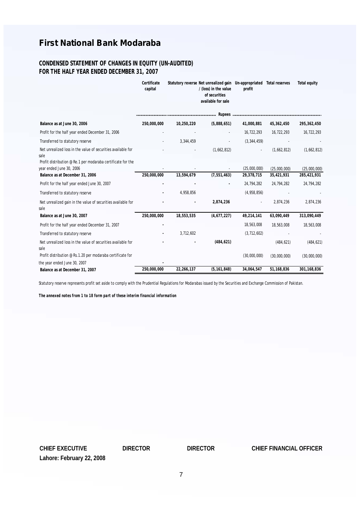#### **CONDENSED STATEMENT OF CHANGES IN EQUITY (UN-AUDITED) FOR THE HALF YEAR ENDED DECEMBER 31, 2007**

|                                                                                         | Certificate |            | Statutory reverse Net unrealized gain Un-appropriated Total reserves |                          |              | Total equity  |
|-----------------------------------------------------------------------------------------|-------------|------------|----------------------------------------------------------------------|--------------------------|--------------|---------------|
|                                                                                         | capital     |            | / (loss) in the value<br>of securities<br>available for sale         | profit                   |              |               |
|                                                                                         |             |            |                                                                      |                          |              |               |
| Balance as at June 30, 2006                                                             | 250,000,000 | 10,250,220 | (5,888,651)                                                          | 41,000,881               | 45,362,450   | 295, 362, 450 |
| Profit for the half year ended December 31, 2006                                        |             |            |                                                                      | 16.722.293               | 16,722,293   | 16,722,293    |
| Transferred to statutory reserve                                                        |             | 3,344,459  |                                                                      | (3, 344, 459)            |              |               |
| Net unrealized loss in the value of securities available for<br>sale                    |             |            | (1,662,812)                                                          | $\overline{\phantom{a}}$ | (1,662,812)  | (1,662,812)   |
| Profit distribution @ Re.1 per modaraba certificate for the<br>year ended June 30, 2006 |             |            |                                                                      | (25,000,000)             | (25,000,000) | (25,000,000)  |
| Balance as at December 31, 2006                                                         | 250,000,000 | 13,594,679 | (7, 551, 463)                                                        | 29,378,715               | 35,421,931   | 285, 421, 931 |
| Profit for the half year ended June 30, 2007                                            |             |            |                                                                      | 24,794,282               | 24,794,282   | 24,794,282    |
| Transferred to statutory reserve                                                        |             | 4,958,856  |                                                                      | (4,958,856)              |              |               |
| Net unrealized gain in the value of securities available for<br>sale                    |             |            | 2,874,236                                                            |                          | 2,874,236    | 2,874,236     |
| Balance as at June 30, 2007                                                             | 250,000,000 | 18,553,535 | (4,677,227)                                                          | 49,214,141               | 63,090,449   | 313,090,449   |
| Profit for the half year ended December 31, 2007                                        |             |            |                                                                      | 18,563,008               | 18,563,008   | 18,563,008    |
| Transferred to statutory reserve                                                        |             | 3,712,602  |                                                                      | (3, 712, 602)            |              |               |
| Net unrealized loss in the value of securities available for<br>sale                    |             |            | (484, 621)                                                           |                          | (484, 621)   | (484, 621)    |
| Profit distribution @ Rs.1.20 per modaraba certificate for                              |             |            |                                                                      | (30,000,000)             | (30,000,000) | (30,000,000)  |
| the year ended June 30, 2007                                                            |             |            |                                                                      |                          |              |               |
| Balance as at December 31, 2007                                                         | 250.000.000 | 22,266,137 | (5, 161, 848)                                                        | 34.064.547               | 51.168.836   | 301, 168, 836 |

Statutory reserve represents profit set aside to comply with the Prudential Regulations for Modarabas issued by the Securities and Exchange Commission of Pakistan.

*The annexed notes from 1 to 18 form part of these interim financial information*

**Lahore: February 22, 2008 CHIEF EXECUTIVE DIRECTOR DIRECTOR CHIEF FINANCIAL OFFICER**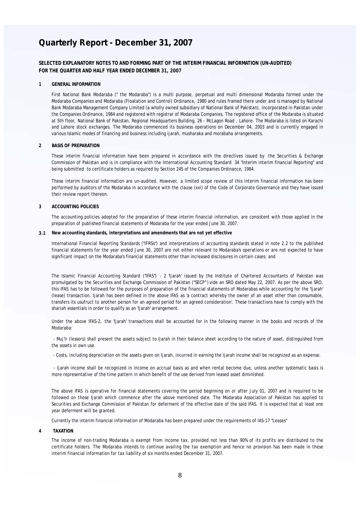**SELECTED EXPLANATORY NOTES TO AND FORMING PART OF THE INTERIM FINANCIAL INFORMATION (UN-AUDITED) FOR THE QUARTER AND HALF YEAR ENDED DECEMBER 31, 2007**

#### **1 GENERAL INFORMATION**

First National Bank Modaraba (" the Modaraba") is a multi purpose, perpetual and multi dimensional Modaraba formed under the Modaraba Companies and Modaraba (Floatation and Control) Ordinance, 1980 and rules framed there under and is managed by National Bank Modaraba Management Company Limited (a wholly owned subsidiary of National Bank of Pakistan), incorporated in Pakistan under the Companies Ordinance, 1984 and registered with registrar of Modaraba Companies. The registered office of the Modaraba is situated at 5th floor, National Bank of Pakistan, Regional Headquarters Building, 26 - McLagon Road , Lahore. The Modaraba is listed on Karachi and Lahore stock exchanges. The Modaraba commenced its business operations on December 04, 2003 and is currently engaged in various Islamic modes of financing and business including ijarah, musharaka and morabaha arrangements.

#### **2 BASIS OF PREPARATION**

These interim financial information have been prepared in accordance with the directives issued by the Securities & Exchange Commission of Pakistan and is in compliance with the International Accounting Standard 34 "Interim interim financial Reporting" and being submitted to certificate holders as required by Section 245 of the Companies Ordinance, 1984.

These interim financial information are un-audited. However, a limited scope review of this interim financial information has been performed by auditors of the Modaraba in accordance with the clause (xxi) of the Code of Corporate Governance and they have issued their review report thereon.

#### **3 ACCOUNTING POLICIES**

The accounting policies adopted for the preparation of these interim financial information, are consistent with those applied in the preparation of published financial statements of Modaraba for the year ended June 30, 2007.

**3.1 New accounting standards, interpretations and amendments that are not yet effective**

International Financial Reporting Standards ("IFRSs") and interpretations of accounting standards stated in note 2.2 to the published financial statements for the year ended June 30, 2007 are not either relevant to Modaraba's operations or are not expected to have significant impact on the Modaraba's financial statements other than increased disclosures in certain cases; and

The Islamic Financial Accounting Standard ("IFAS") - 2 'Ijarah' issued by the Institute of Chartered Accountants of Pakistan was promulgated by the Securities and Exchange Commission of Pakistan ("SECP") vide an SRO dated May 22, 2007. As per the above SRO, this IFAS has to be followed for the purposes of preparation of the financial statements of Modarabas while accounting for the 'Ijarah' (lease) transaction. Ijarah has been defined in the above IFAS as 'a contract whereby the owner of an asset other than consumable, transfers its usufruct to another person for an agreed period for an agreed consideration'. These transactions have to comply with the shariah essentials in order to qualify as an 'Ijarah' arrangement.

Under the above IFAS-2, the 'Ijarah' transactions shall be accounted for in the following manner in the books and records of the Modaraba:

- Muj'ir (lessors) shall present the assets subject to Ijarah in their balance sheet according to the nature of asset, distinguished from the assets in own use.

- Costs, including depreciation on the assets given on Ijarah, incurred in earning the Ijarah income shall be recognized as an expense.

- Ijarah income shall be recognized in income on accrual basis as and when rental become due, unless another systematic basis is more representative of the time pattern in which benefit of the use derived from leased asset diminished.

The above IFAS is operative for financial statements covering the period beginning on or after July 01, 2007 and is required to be followed on those Ijarah which commence after the above mentioned date. The Modaraba Association of Pakistan has applied to Securities and Exchange Commission of Pakistan for deferment of the effective date of the said IFAS. It is expected that at least one year deferment will be granted.

Currently the interim financial information of Modaraba has been prepared under the requirements of IAS-17 "Leases"

**4 TAXATION**

The income of non-trading Modaraba is exempt from income tax, provided not less than 90% of its profits are distributed to the certificate holders. The Modaraba intends to continue availing the tax exemption and hence no provision has been made in these interim financial information for tax liability of six months ended December 31, 2007.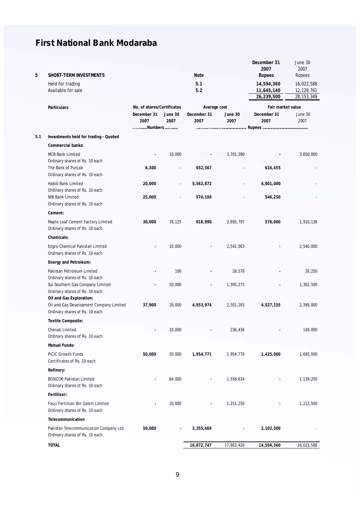| 5   | SHORT-TERM INVESTMENTS                                                    |                            |         | Note         |            | December 31<br>2007<br>Rupees          | June 30<br>2007<br>Rupees                |
|-----|---------------------------------------------------------------------------|----------------------------|---------|--------------|------------|----------------------------------------|------------------------------------------|
|     | Held for trading<br>Available for sale                                    |                            |         | 5.1<br>5.2   |            | 14,594,360<br>11,645,140<br>26,239,500 | 16,023,588<br>12,129,761<br>28, 153, 349 |
|     | Particulars                                                               | No. of shares/Certificates |         | Average cost |            | Fair market value                      |                                          |
|     |                                                                           | December 31                | June 30 | December 31  | June 30    | December 31                            | June 30                                  |
|     |                                                                           | 2007                       | 2007    | 2007         | 2007       | 2007                                   | 2007                                     |
|     |                                                                           | Numbers                    |         |              |            |                                        |                                          |
| 5.1 | Investments held for trading - Quoted                                     |                            |         |              |            |                                        |                                          |
|     | Commercial banks:                                                         |                            |         |              |            |                                        |                                          |
|     | MCB Bank Limited                                                          |                            | 10,000  |              | 3,701,390  |                                        | 3,650,000                                |
|     | Ordinary shares of Rs. 10 each                                            |                            |         |              |            |                                        |                                          |
|     | The Bank of Punjab<br>Ordinary shares of Rs. 10 each                      | 6,300                      |         | 652,567      |            | 616,455                                |                                          |
|     | Habib Bank Limited                                                        | 20,000                     |         | 5,562,872    |            | 4,801,000                              |                                          |
|     | Ordinary shares of Rs. 10 each                                            |                            |         |              |            |                                        |                                          |
|     | NIB Bank Limited                                                          | 25,000                     |         | 574,104      |            | 546,250                                |                                          |
|     | Ordinary shares of Rs. 10 each                                            |                            |         |              |            |                                        |                                          |
|     | Cement:                                                                   |                            |         |              |            |                                        |                                          |
|     | Maple Leaf Cement Factory Limited<br>Ordinary shares of Rs. 10 each       | 30,000                     | 78,125  | 818,990      | 2,695,797  | 576,000                                | 1,910,138                                |
|     | Chemicals:                                                                |                            |         |              |            |                                        |                                          |
|     | Engro Chemical Pakistan Limited<br>Ordinary shares of Rs. 10 each         |                            | 10,000  | ×,           | 2,541,003  |                                        | 2,540,000                                |
|     | Energy and Petroleum:                                                     |                            |         |              |            |                                        |                                          |
|     | Pakistan Petroleum Limited                                                |                            | 100     |              | 26,578     |                                        | 26,250                                   |
|     | Ordinary shares of Rs. 10 each                                            |                            |         |              |            |                                        |                                          |
|     | Sui Southern Gas Company Limited                                          |                            | 50,000  |              | 1,395,275  |                                        | 1,302,500                                |
|     | Ordinary shares of Rs. 10 each<br>Oil and Gas Exploration:                |                            |         |              |            |                                        |                                          |
|     | Oil and Gas Development Company Limited                                   | 37,900                     | 20,000  | 4,953,974    | 2,501,293  | 4,527,155                              | 2,399,000                                |
|     | Ordinary shares of Rs. 10 each                                            |                            |         |              |            |                                        |                                          |
|     | Textile Composite:                                                        |                            |         |              |            |                                        |                                          |
|     | Chenab Limited                                                            |                            | 10,000  |              | 236,436    |                                        | 149,000                                  |
|     | Ordinary shares of Rs. 10 each                                            |                            |         |              |            |                                        |                                          |
|     | Mutual Funds:                                                             |                            |         |              |            |                                        |                                          |
|     | PICIC Growth Funds<br>Certificates of Rs. 10 each                         | 50,000                     | 50,000  | 1,954,771    | 1,954,770  | 1,425,000                              | 1,695,000                                |
|     | Refinery:                                                                 |                            |         |              |            |                                        |                                          |
|     | <b>BOSICOR Pakistan Limited</b><br>Ordinary shares of Rs. 10 each         |                            | 64.000  |              | 1,558,634  |                                        | 1,139,200                                |
|     | Fertilizer:                                                               |                            |         |              |            |                                        |                                          |
|     | Fauji Fertilizer Bin Qasim Limited                                        |                            | 10,000  |              | 1,251,250  |                                        | 1,212,500                                |
|     | Ordinary shares of Rs. 10 each                                            |                            |         |              |            |                                        |                                          |
|     | Telecommunication                                                         |                            |         |              |            |                                        |                                          |
|     | Pakistan Telecommunication Company Ltd.<br>Ordinary shares of Rs. 10 each | 50,000                     |         | 2,355,469    |            | 2,102,500                              |                                          |
|     | <b>TOTAL</b>                                                              |                            |         | 16,872,747   | 17,862,426 | 14,594,360                             | 16,023,588                               |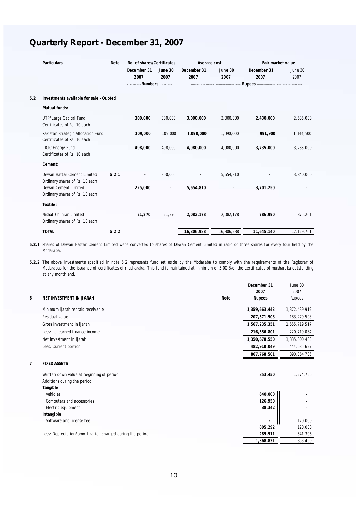|     | Particulars                                                       | <b>Note</b> |                     | No. of shares/Certificates |                     | Average cost    |                     | Fair market value |  |
|-----|-------------------------------------------------------------------|-------------|---------------------|----------------------------|---------------------|-----------------|---------------------|-------------------|--|
|     |                                                                   |             | December 31<br>2007 | June 30<br>2007            | December 31<br>2007 | June 30<br>2007 | December 31<br>2007 | June 30<br>2007   |  |
|     |                                                                   |             | Numbers             |                            |                     |                 |                     |                   |  |
| 5.2 | Investments available for sale - Quoted                           |             |                     |                            |                     |                 |                     |                   |  |
|     | Mutual funds:                                                     |             |                     |                            |                     |                 |                     |                   |  |
|     | UTP/Large Capital Fund<br>Certificates of Rs. 10 each             |             | 300,000             | 300,000                    | 3,000,000           | 3,000,000       | 2,430,000           | 2,535,000         |  |
|     | Pakistan Strategic Allocation Fund<br>Certificates of Rs. 10 each |             | 109,000             | 109,000                    | 1,090,000           | 1,090,000       | 991,900             | 1,144,500         |  |
|     | PICIC Energy Fund<br>Certificates of Rs. 10 each                  |             | 498.000             | 498,000                    | 4,980,000           | 4.980.000       | 3,735,000           | 3,735,000         |  |
|     | Cement:                                                           |             |                     |                            |                     |                 |                     |                   |  |
|     | Dewan Hattar Cement Limited<br>Ordinary shares of Rs. 10 each     | 5.2.1       |                     | 300,000                    |                     | 5,654,810       |                     | 3,840,000         |  |
|     | Dewan Cement Limited<br>Ordinary shares of Rs. 10 each            |             | 225,000             | $\overline{\phantom{a}}$   | 5,654,810           |                 | 3,701,250           |                   |  |
|     | Textile:                                                          |             |                     |                            |                     |                 |                     |                   |  |
|     | Nishat Chunian Limited<br>Ordinary shares of Rs. 10 each          |             | 21,270              | 21,270                     | 2,082,178           | 2,082,178       | 786,990             | 875,261           |  |
|     | <b>TOTAL</b>                                                      | 5.2.2       |                     |                            | 16,806,988          | 16.806.988      | 11.645.140          | 12.129.761        |  |

**5.2.1** Shares of Dewan Hattar Cement Limited were converted to shares of Dewan Cement Limited in ratio of three shares for every four held by the Modaraba.

**5.2.2** The above investments specified in note 5.2 represents fund set aside by the Modaraba to comply with the requirements of the Registrar of Modarabas for the issuance of certificates of musharaka. This fund is maintained at minimum of 5.00 % of the certificates of musharaka outstanding at any month end.

|   |                                                           |      | December 31<br>2007 | June 30<br>2007 |
|---|-----------------------------------------------------------|------|---------------------|-----------------|
| 6 | NET INVESTMENT IN IJARAH                                  | Note | Rupees              | Rupees          |
|   | Minimum ijarah rentals receivable                         |      | 1,359,663,443       | 1,372,439,919   |
|   | Residual value                                            |      | 207,571,908         | 183,279,598     |
|   | Gross investment in ijarah                                |      | 1,567,235,351       | 1,555,719,517   |
|   | Less: Unearned finance income                             |      | 216,556,801         | 220,719,034     |
|   | Net investment in ijarah                                  |      | 1,350,678,550       | 1,335,000,483   |
|   | Less: Current portion                                     |      | 482,910,049         | 444,635,697     |
|   |                                                           |      | 867,768,501         | 890, 364, 786   |
| 7 | <b>FIXED ASSETS</b>                                       |      |                     |                 |
|   | Written down value at beginning of period                 |      | 853,450             | 1,274,756       |
|   | Additions during the period                               |      |                     |                 |
|   | Tangible                                                  |      |                     |                 |
|   | Vehicles                                                  |      | 640,000             |                 |
|   | Computers and accessories                                 |      | 126,950             |                 |
|   | Electric equipment                                        |      | 38,342              |                 |
|   | Intangible                                                |      |                     |                 |
|   | Software and license fee                                  |      |                     | 120,000         |
|   |                                                           |      | 805,292             | 120,000         |
|   | Less: Depreciation/amortization charged during the period |      | 289,911             | 541,306         |
|   |                                                           |      | 1,368,831           | 853,450         |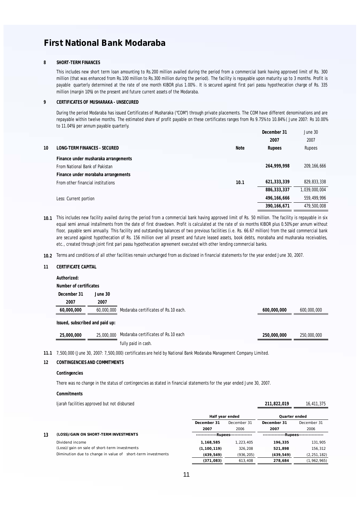#### **SHORT-TERM FINANCES 8**

This includes new short term loan amounting to Rs.200 million availed during the period from a commercial bank having approved limit of Rs. 300 million (that was enhanced from Rs.100 million to Rs.300 million during the period). The facility is repayable upon maturity up to 3 months. Profit is payable quarterly determined at the rate of one month KIBOR plus 1.00% . It is secured against first pari passu hypothecation charge of Rs. 335 million (margin 10%) on the present and future current assets of the Modaraba.

#### **9 CERTIFICATES OF MUSHARAKA - UNSECURED**

During the period Modaraba has issued Certificates of Musharaka ("COM") through private placements. The COM have different denominations and are repayable within twelve months. The estimated share of profit payable on these certificates ranges from Rs 9.75% to 10.84% ( June 2007: Rs 10.00% to 11.04%) per annum payable quarterly.

|    |                                      |      | December 31   | June 30       |
|----|--------------------------------------|------|---------------|---------------|
|    |                                      |      | 2007          | 2007          |
| 10 | LONG-TERM FINANCES - SECURED         | Note | Rupees        | Rupees        |
|    | Finance under musharaka arrangements |      |               |               |
|    | From National Bank of Pakistan       |      | 264.999.998   | 209, 166, 666 |
|    | Finance under morabaha arrangements  |      |               |               |
|    | From other financial institutions    | 10.1 | 621,333,339   | 829, 833, 338 |
|    |                                      |      | 886, 333, 337 | 1,039,000,004 |
|    | Less: Current portion                |      | 496,166,666   | 559.499.996   |
|    |                                      |      | 390.166.671   | 479.500.008   |

- **10.1** This includes new facility availed during the period from a commercial bank having approved limit of Rs. 50 million. The facility is repayable in six equal semi annual installments from the date of first drawdown. Profit is calculated at the rate of six months KIBOR plus 0.50% per annum without floor, payable semi annually. This facility and outstanding balances of two previous facilities (i.e. Rs. 66.67 million) from the said commercial bank are secured against hypothecation of Rs. 156 million over all present and future leased assets, book debts, morabaha and musharaka receivables, etc., created through joint first pari passu hypothecation agreement executed with other lending commercial banks.
- **10.2** Terms and conditions of all other facilities remain unchanged from as disclosed in financial statements for the year ended June 30, 2007.

#### **11 CERTIFICATE CAPITAL**

#### **Authorized: Number of certificates December 31 June 30 2007 2007 60,000,000** 60,000,000 Modaraba certificates of Rs.10 each. **600,000,000** 600,000,000 **Issued, subscribed and paid up: 25,000,000** 25,000,000 **250,000,000** 250,000,000 Modaraba certificates of Rs.10 each fully paid in cash.

**11.1** 7,500,000 (June 30, 2007: 7,500,000) certificates are held by National Bank Modaraba Management Company Limited.

#### **12 CONTINGENCIES AND COMMITMENTS**

#### **Contingencies**

There was no change in the status of contingencies as stated in financial statements for the year ended June 30, 2007.

#### **Commitments**

| ljarah facilities approved but not disbursed | 211.822.019 | 16.411.375 |
|----------------------------------------------|-------------|------------|
|                                              |             |            |

**Half year ended**

**Quarter ended**

|    |                                                             |                          | Half vear ended |                           | Quarter ended |
|----|-------------------------------------------------------------|--------------------------|-----------------|---------------------------|---------------|
|    |                                                             | December 31              | December 31     | December 31               | December 31   |
|    |                                                             | 2007                     | 2006            | 2007                      | 2006          |
| 13 | (LOSS)/GAIN ON SHORT-TERM INVESTMENTS                       | ---Rupees--------------- |                 | --Rupees----------------- |               |
|    | Dividend income                                             | 1.168.585                | 1.223.405       | 196.335                   | 131.905       |
|    | (Loss)/gain on sale of short-term investments               | (1, 100, 119)            | 326.208         | 521.898                   | 156.312       |
|    | Diminution due to change in value of short-term investments | (439.549)                | (936.205)       | (439.549)                 | (2, 251, 182) |
|    |                                                             | (371.083)                | 613.408         | 278.684                   | (1,962,965)   |